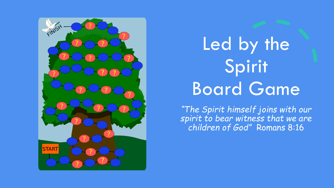

## Led by the Spirit Board Game

*"The Spirit himself joins with our spirit to bear witness that we are children of God"* Romans 8:16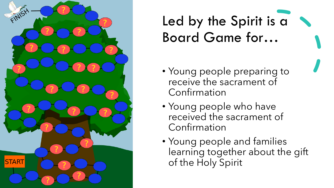

## Led by the Spirit is a Board Game for…

- Young people preparing to receive the sacrament of Confirmation
- Young people who have received the sacrament of Confirmation
- Young people and families learning together about the gift of the Holy Spirit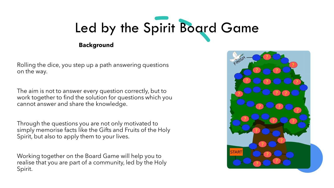

## **Background**

Rolling the dice, you step up a path answering questions on the way.

The aim is not to answer every question correctly, but to work together to find the solution for questions which you cannot answer and share the knowledge.

Through the questions you are not only motivated to simply memorise facts like the Gifts and Fruits of the Holy Spirit, but also to apply them to your lives.

Working together on the Board Game will help you to realise that you are part of a community, led by the Holy Spirit.